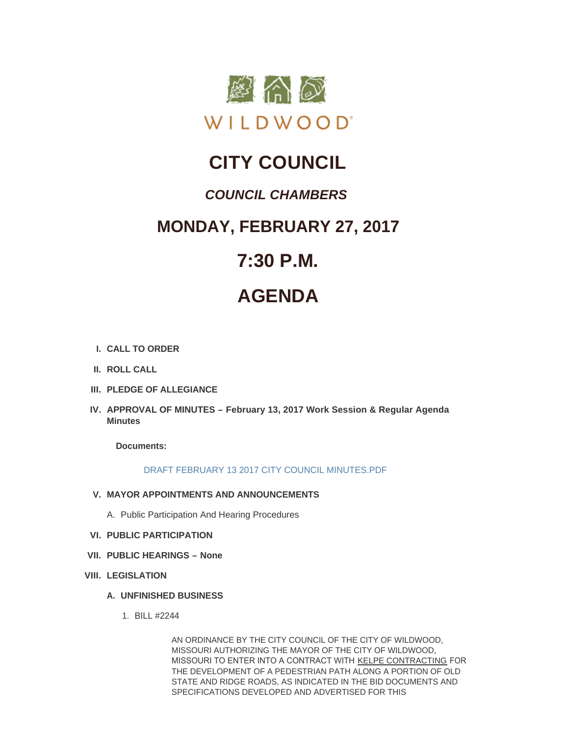

## **CITY COUNCIL**

### *COUNCIL CHAMBERS*

### **MONDAY, FEBRUARY 27, 2017**

## **7:30 P.M.**

# **AGENDA**

- **CALL TO ORDER I.**
- **ROLL CALL II.**
- **PLEDGE OF ALLEGIANCE III.**
- **APPROVAL OF MINUTES – February 13, 2017 Work Session & Regular Agenda IV. Minutes**

**Documents:**

[DRAFT FEBRUARY 13 2017 CITY COUNCIL MINUTES.PDF](http://cityofwildwood.com/AgendaCenter/ViewFile/Item/9906?fileID=14370)

- **MAYOR APPOINTMENTS AND ANNOUNCEMENTS V.**
	- A. Public Participation And Hearing Procedures
- **PUBLIC PARTICIPATION VI.**
- **PUBLIC HEARINGS – None VII.**
- **LEGISLATION VIII.**
	- **UNFINISHED BUSINESS A.**
		- BILL #2244 1.

AN ORDINANCE BY THE CITY COUNCIL OF THE CITY OF WILDWOOD, MISSOURI AUTHORIZING THE MAYOR OF THE CITY OF WILDWOOD, MISSOURI TO ENTER INTO A CONTRACT WITH KELPE CONTRACTING FOR THE DEVELOPMENT OF A PEDESTRIAN PATH ALONG A PORTION OF OLD STATE AND RIDGE ROADS, AS INDICATED IN THE BID DOCUMENTS AND SPECIFICATIONS DEVELOPED AND ADVERTISED FOR THIS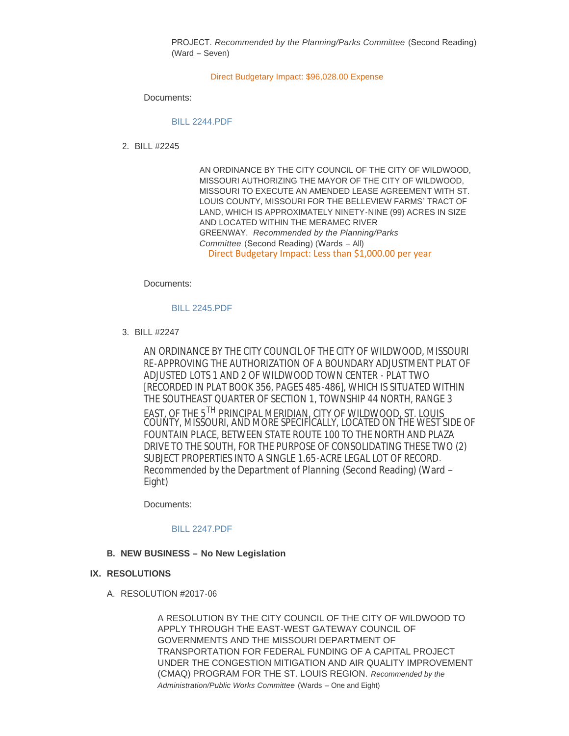PROJECT. *Recommended by the Planning/Parks Committee* (Second Reading) (Ward – Seven)

Direct Budgetary Impact: \$96,028.00 Expense

Documents:

#### [BILL 2244.PDF](http://cityofwildwood.com/AgendaCenter/ViewFile/Item/9913?fileID=14371)

BILL #2245 2.

AN ORDINANCE BY THE CITY COUNCIL OF THE CITY OF WILDWOOD, MISSOURI AUTHORIZING THE MAYOR OF THE CITY OF WILDWOOD, MISSOURI TO EXECUTE AN AMENDED LEASE AGREEMENT WITH ST. LOUIS COUNTY, MISSOURI FOR THE BELLEVIEW FARMS' TRACT OF LAND, WHICH IS APPROXIMATELY NINETY-NINE (99) ACRES IN SIZE AND LOCATED WITHIN THE MERAMEC RIVER GREENWAY. *Recommended by the Planning/Parks Committee* (Second Reading) (Wards – All) Direct Budgetary Impact: Less than \$1,000.00 per year

Documents:

#### [BILL 2245.PDF](http://cityofwildwood.com/AgendaCenter/ViewFile/Item/9914?fileID=14372)

BILL #2247 3.

AN ORDINANCE BY THE CITY COUNCIL OF THE CITY OF WILDWOOD, MISSOURI RE-APPROVING THE AUTHORIZATION OF A BOUNDARY ADJUSTMENT PLAT OF *ADJUSTED LOTS 1 AND 2 OF WILDWOOD TOWN CENTER - PLAT TWO* [RECORDED IN PLAT BOOK 356, PAGES 485-486], WHICH IS SITUATED WITHIN THE SOUTHEAST QUARTER OF SECTION 1, TOWNSHIP 44 NORTH, RANGE 3 EAST, OF THE 5TH PRINCIPAL MERIDIAN, CITY OF WILDWOOD, ST. LOUIS COUNTY, MISSOURI, AND MORE SPECIFICALLY, LOCATED ON THE WEST SIDE OF FOUNTAIN PLACE, BETWEEN STATE ROUTE 100 TO THE NORTH AND PLAZA DRIVE TO THE SOUTH, FOR THE PURPOSE OF CONSOLIDATING THESE TWO (2) SUBJECT PROPERTIES INTO A SINGLE 1.65-ACRE LEGAL LOT OF RECORD. *Recommended by the Department of Planning* (Second Reading) (Ward – Eight)

Documents:

### [BILL 2247.PDF](http://cityofwildwood.com/AgendaCenter/ViewFile/Item/9915?fileID=14373)

#### **NEW BUSINESS – No New Legislation B.**

#### **RESOLUTIONS IX.**

A. RESOLUTION #2017-06

A RESOLUTION BY THE CITY COUNCIL OF THE CITY OF WILDWOOD TO APPLY THROUGH THE EAST-WEST GATEWAY COUNCIL OF GOVERNMENTS AND THE MISSOURI DEPARTMENT OF TRANSPORTATION FOR FEDERAL FUNDING OF A CAPITAL PROJECT UNDER THE CONGESTION MITIGATION AND AIR QUALITY IMPROVEMENT (CMAQ) PROGRAM FOR THE ST. LOUIS REGION. *Recommended by the Administration/Public Works Committee* (Wards – One and Eight)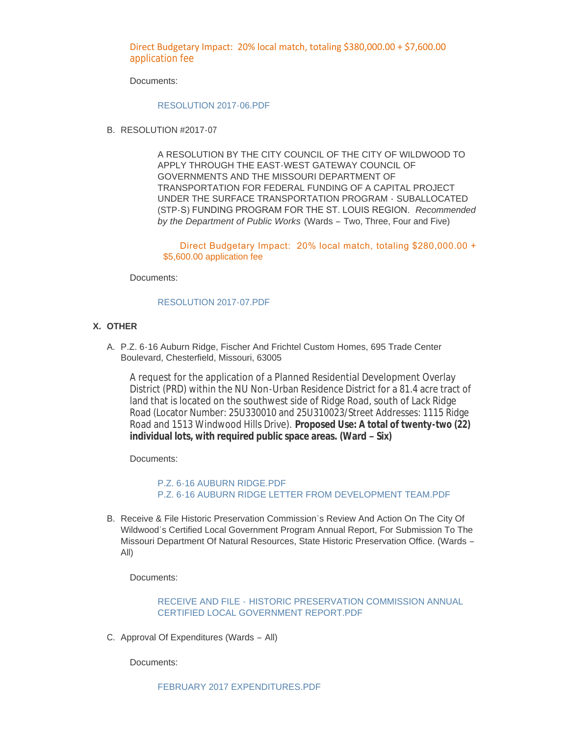Direct Budgetary Impact: 20% local match, totaling \$380,000.00 + \$7,600.00 application fee

Documents:

#### [RESOLUTION 2017-06.PDF](http://cityofwildwood.com/AgendaCenter/ViewFile/Item/9918?fileID=14374)

B. RESOLUTION #2017-07

A RESOLUTION BY THE CITY COUNCIL OF THE CITY OF WILDWOOD TO APPLY THROUGH THE EAST-WEST GATEWAY COUNCIL OF GOVERNMENTS AND THE MISSOURI DEPARTMENT OF TRANSPORTATION FOR FEDERAL FUNDING OF A CAPITAL PROJECT UNDER THE SURFACE TRANSPORTATION PROGRAM - SUBALLOCATED (STP-S) FUNDING PROGRAM FOR THE ST. LOUIS REGION. *Recommended by the Department of Public Works* (Wards – Two, Three, Four and Five)

Direct Budgetary Impact: 20% local match, totaling \$280,000.00 + \$5,600.00 application fee

Documents:

#### [RESOLUTION 2017-07.PDF](http://cityofwildwood.com/AgendaCenter/ViewFile/Item/9919?fileID=14375)

#### **OTHER X.**

A. P.Z. 6-16 Auburn Ridge, Fischer And Frichtel Custom Homes, 695 Trade Center Boulevard, Chesterfield, Missouri, 63005

A request for the application of a Planned Residential Development Overlay District (PRD) within the NU Non-Urban Residence District for a 81.4 acre tract of land that is located on the southwest side of Ridge Road, south of Lack Ridge Road (Locator Number: 25U330010 and 25U310023/Street Addresses: 1115 Ridge Road and 1513 Windwood Hills Drive). **Proposed Use: A total of twenty-two (22) individual lots, with required public space areas. (Ward – Six)**

Documents:

[P.Z. 6-16 AUBURN RIDGE.PDF](http://cityofwildwood.com/AgendaCenter/ViewFile/Item/9921?fileID=14376) [P.Z. 6-16 AUBURN RIDGE LETTER FROM DEVELOPMENT TEAM.PDF](http://cityofwildwood.com/AgendaCenter/ViewFile/Item/9921?fileID=14377)

B. Receive & File Historic Preservation Commission's Review And Action On The City Of Wildwood's Certified Local Government Program Annual Report, For Submission To The Missouri Department Of Natural Resources, State Historic Preservation Office. (Wards – All)

Documents:

RECEIVE AND FILE - [HISTORIC PRESERVATION COMMISSION ANNUAL](http://cityofwildwood.com/AgendaCenter/ViewFile/Item/9922?fileID=14378)  CERTIFIED LOCAL GOVERNMENT REPORT.PDF

C. Approval Of Expenditures (Wards – All)

Documents:

[FEBRUARY 2017 EXPENDITURES.PDF](http://cityofwildwood.com/AgendaCenter/ViewFile/Item/9923?fileID=14379)